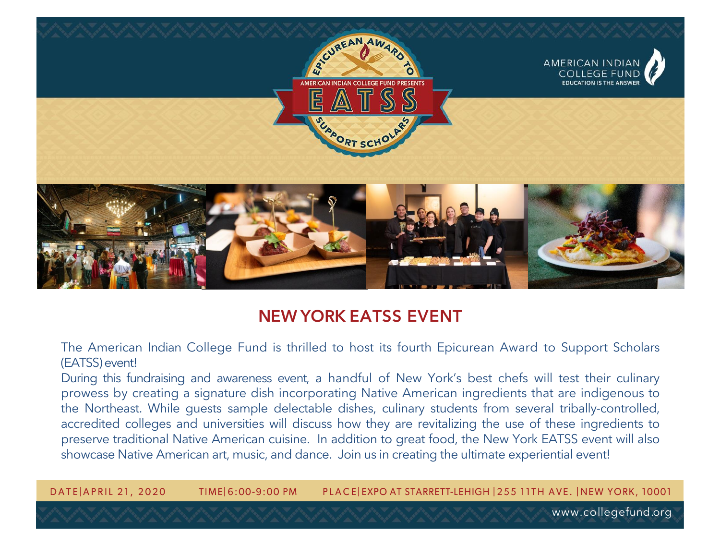

## **NEW YORK EATSS EVENT**

The American Indian College Fund is thrilled to host its fourth Epicurean Award to Support Scholars (EATSS)event!

During this fundraising and awareness event, a handful of New York's best chefs will test their culinary prowess by creating a signature dish incorporating Native American ingredients that are indigenous to the Northeast. While guests sample delectable dishes, culinary students from several tribally-controlled, accredited colleges and universities will discuss how they are revitalizing the use of these ingredients to preserve traditional Native American cuisine. In addition to great food, the New York EATSS event will also showcase Native American art, music, and dance. Join us in creating the ultimate experiential event!

DATE APRIL 21, 2020 TIME 6:00-9:00 PM PLACE EXPO AT STARRETT-LEHIGH | 255 11TH AVE. | NEW YORK, 10001

www.collegefund.org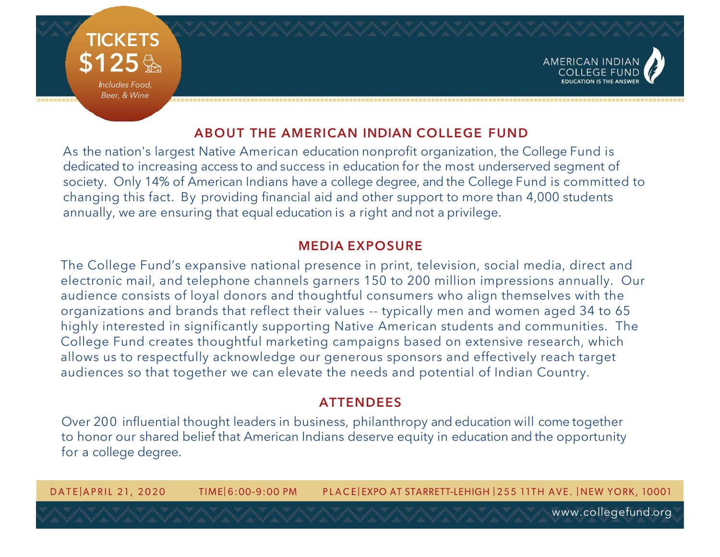

### **ABOUT THE AMERICAN INDIAN COLLEGE FUND**

As the nation's largest Native American education nonprofit organization, the College Fund is dedicated to increasing access to and success in education for the most underserved segment of society. Only 14% of American Indians have a college degree, and the College Fund is committed to changing this fact. By providing financial aid and other support to more than 4,000 students annually, we are ensuring that equal education is a right and not a privilege.

#### **MEDIA EXPOSURE**

The College Fund's expansive national presence in print, television, social media, direct and electronic mail, and telephone channels garners 150 to 200 million impressions annually. Our audience consists of loyal donors and thoughtful consumers who align themselves with the organizations and brands that reflect their values -- typically men and women aged 34 to 65 highly interested in significantly supporting Native American students and communities. The College Fund creates thoughtful marketing campaigns based on extensive research, which allows us to respectfully acknowledge our generous sponsors and effectively reach target audiences so that together we can elevate the needs and potential of Indian Country.

#### **ATTENDEES**

Over 200 influential thought leaders in business, philanthropy and education will come together to honor our shared belief that American Indians deserve equity in education and the opportunity for a college degree.